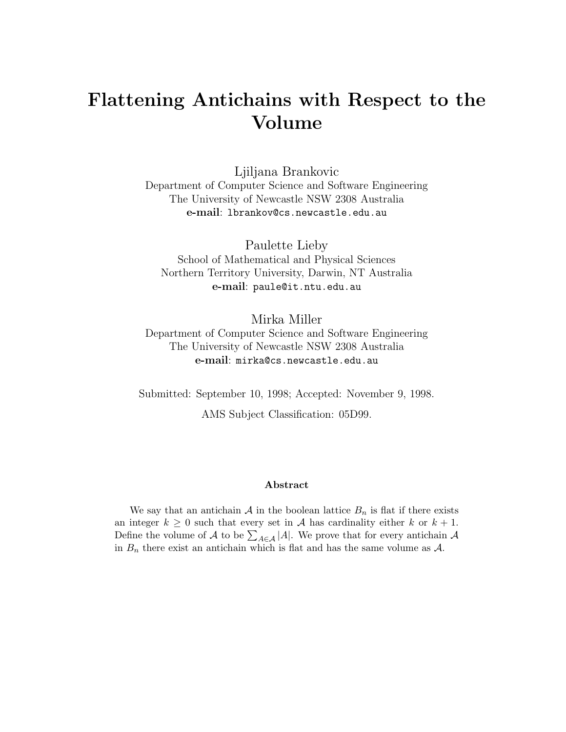# **Flattening Antichains with Respect to the Volume**

Ljiljana Brankovic Department of Computer Science and Software Engineering The University of Newcastle NSW 2308 Australia **e-mail**: lbrankov@cs.newcastle.edu.au

Paulette Lieby School of Mathematical and Physical Sciences Northern Territory University, Darwin, NT Australia **e-mail**: paule@it.ntu.edu.au

Mirka Miller Department of Computer Science and Software Engineering The University of Newcastle NSW 2308 Australia **e-mail**: mirka@cs.newcastle.edu.au

Submitted: September 10, 1998; Accepted: November 9, 1998.

AMS Subject Classification: 05D99.

#### **Abstract**

We say that an antichain A in the boolean lattice  $B_n$  is flat if there exists an integer  $k \geq 0$  such that every set in A has cardinality either k or  $k + 1$ . Define the volume of A to be  $\sum_{A \in \mathcal{A}} |A|$ . We prove that for every antichain A in  $B_n$  there exist an antichain which is flat and has the same volume as  $A$ .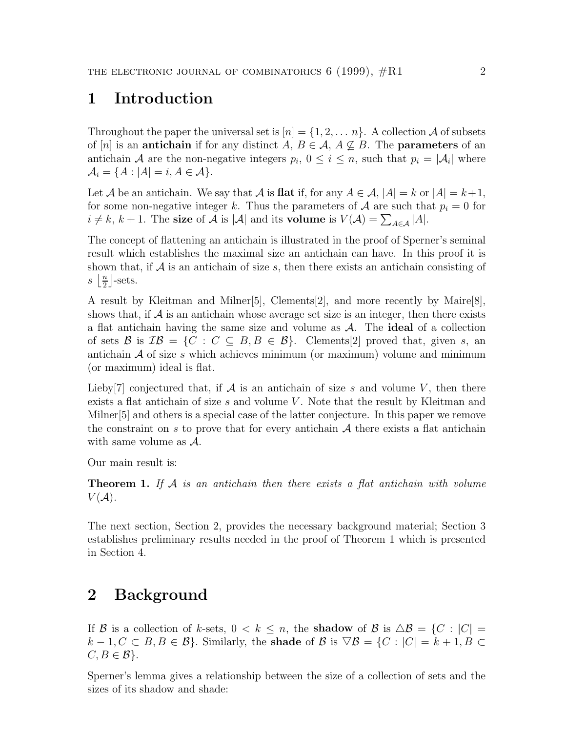## **1 Introduction**

Throughout the paper the universal set is  $[n] = \{1, 2, \ldots, n\}$ . A collection A of subsets of [n] is an **antichain** if for any distinct  $A, B \in \mathcal{A}, A \nsubseteq B$ . The **parameters** of an antichain A are the non-negative integers  $p_i$ ,  $0 \le i \le n$ , such that  $p_i = |\mathcal{A}_i|$  where  $\mathcal{A}_i = \{A : |A| = i, A \in \mathcal{A}\}.$ 

Let A be an antichain. We say that A is **flat** if, for any  $A \in \mathcal{A}$ ,  $|A| = k$  or  $|A| = k+1$ , for some non-negative integer k. Thus the parameters of A are such that  $p_i = 0$  for  $i \neq k, k + 1$ . The **size** of A is |A| and its **volume** is  $V(A) = \sum_{A \in \mathcal{A}} |A|$ .

The concept of flattening an antichain is illustrated in the proof of Sperner's seminal result which establishes the maximal size an antichain can have. In this proof it is shown that, if  $A$  is an antichain of size  $s$ , then there exists an antichain consisting of  $s \left\lfloor \frac{n}{2} \right\rfloor$ -sets.

A result by Kleitman and Milner[5], Clements[2], and more recently by Maire[8], shows that, if  $A$  is an antichain whose average set size is an integer, then there exists a flat antichain having the same size and volume as A. The **ideal** of a collection of sets B is  $\mathcal{IB} = \{C : C \subseteq B, B \in \mathcal{B}\}\$ . Clements[2] proved that, given s, an antichain  $A$  of size s which achieves minimum (or maximum) volume and minimum (or maximum) ideal is flat.

Lieby<sup>[7]</sup> conjectured that, if  $A$  is an antichain of size s and volume V, then there exists a flat antichain of size s and volume V. Note that the result by Kleitman and Milner[5] and others is a special case of the latter conjecture. In this paper we remove the constraint on s to prove that for every antichain  $A$  there exists a flat antichain with same volume as  $\mathcal{A}$ .

Our main result is:

**Theorem 1.** If  $A$  is an antichain then there exists a flat antichain with volume  $V(A)$ .

The next section, Section 2, provides the necessary background material; Section 3 establishes preliminary results needed in the proof of Theorem 1 which is presented in Section 4.

### **2 Background**

If B is a collection of k-sets,  $0 < k \leq n$ , the **shadow** of B is  $\Delta B = \{C : |C| =$  $k-1, C \subset B, B \in \mathcal{B}$ . Similarly, the **shade** of **B** is  $\triangledown$ **B** = {C : |C| = k + 1, B ⊂  $C, B \in \mathcal{B}$ .

Sperner's lemma gives a relationship between the size of a collection of sets and the sizes of its shadow and shade: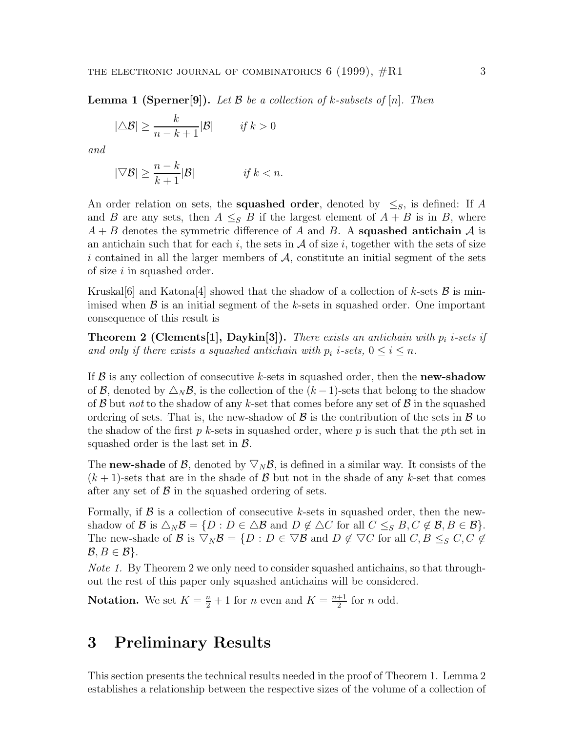**Lemma 1 (Sperner[9]).** Let  $\mathcal{B}$  be a collection of k-subsets of  $[n]$ . Then

$$
|\triangle \mathcal{B}| \ge \frac{k}{n-k+1} |\mathcal{B}| \qquad \text{if } k > 0
$$

and

$$
|\nabla \mathcal{B}| \ge \frac{n-k}{k+1} |\mathcal{B}| \qquad \qquad \text{if } k < n.
$$

An order relation on sets, the **squashed order**, denoted by  $\leq_S$ , is defined: If A and B are any sets, then  $A \leq_{S} B$  if the largest element of  $A + B$  is in B, where  $A + B$  denotes the symmetric difference of A and B. A **squashed antichain** A is an antichain such that for each i, the sets in  $\mathcal A$  of size i, together with the sets of size i contained in all the larger members of  $A$ , constitute an initial segment of the sets of size  $i$  in squashed order.

Kruskal $[6]$  and Katona<sup>[4]</sup> showed that the shadow of a collection of k-sets  $\beta$  is minimised when  $\beta$  is an initial segment of the k-sets in squashed order. One important consequence of this result is

**Theorem 2 (Clements[1], Daykin[3]).** There exists an antichain with  $p_i$  *i-sets if* and only if there exists a squashed antichain with  $p_i$  i-sets,  $0 \le i \le n$ .

If B is any collection of consecutive k-sets in squashed order, then the **new-shadow** of B, denoted by  $\Delta_N$ B, is the collection of the  $(k-1)$ -sets that belong to the shadow of  $\beta$  but *not* to the shadow of any k-set that comes before any set of  $\beta$  in the squashed ordering of sets. That is, the new-shadow of  $\beta$  is the contribution of the sets in  $\beta$  to the shadow of the first  $p$  k-sets in squashed order, where  $p$  is such that the pth set in squashed order is the last set in  $\beta$ .

The **new-shade** of B, denoted by  $\nabla_N$ B, is defined in a similar way. It consists of the  $(k + 1)$ -sets that are in the shade of B but not in the shade of any k-set that comes after any set of  $\beta$  in the squashed ordering of sets.

Formally, if  $\beta$  is a collection of consecutive k-sets in squashed order, then the newshadow of B is  $\triangle_N \mathcal{B} = \{D : D \in \triangle \mathcal{B} \text{ and } D \notin \triangle C \text{ for all } C \leq_S B, C \notin \mathcal{B}, B \in \mathcal{B} \}.$ The new-shade of B is  $\nabla_N \mathcal{B} = \{D : D \in \nabla \mathcal{B} \text{ and } D \notin \nabla C \text{ for all } C, B \leq_S C, C \notin \mathcal{B} \}$  $B, B \in \mathcal{B}$ .

Note 1. By Theorem 2 we only need to consider squashed antichains, so that throughout the rest of this paper only squashed antichains will be considered.

**Notation.** We set  $K = \frac{n}{2} + 1$  for *n* even and  $K = \frac{n+1}{2}$  for *n* odd.

#### **3 Preliminary Results**

This section presents the technical results needed in the proof of Theorem 1. Lemma 2 establishes a relationship between the respective sizes of the volume of a collection of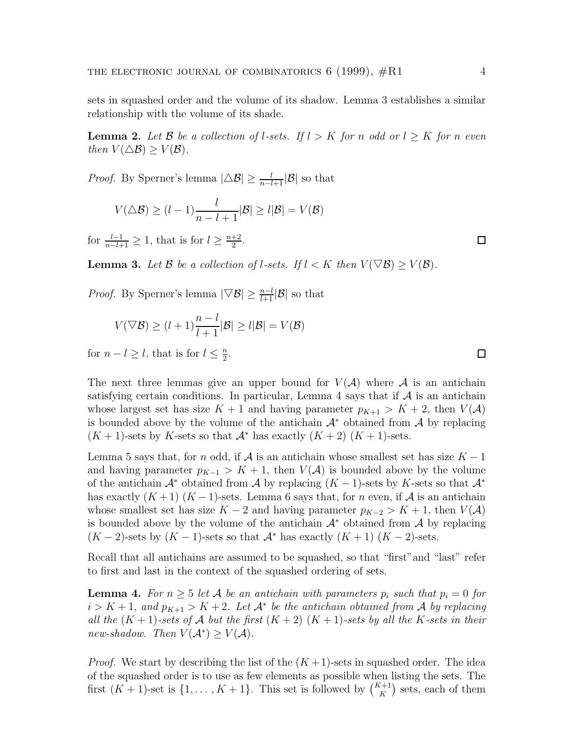sets in squashed order and the volume of its shadow. Lemma 3 establishes a similar relationship with the volume of its shade.

**Lemma 2.** Let B be a collection of l-sets. If  $l > K$  for n odd or  $l \geq K$  for n even then  $V(\Delta \mathcal{B}) \geq V(\mathcal{B})$ .

*Proof.* By Sperner's lemma  $|\triangle \mathcal{B}| \ge \frac{l}{n-l+1} |\mathcal{B}|$  so that

$$
V(\triangle B) \ge (l-1)\frac{l}{n-l+1}|\mathcal{B}| \ge l|\mathcal{B}| = V(\mathcal{B})
$$

for  $\frac{l-1}{n-l+1} \geq 1$ , that is for  $l \geq \frac{n+2}{2}$ .

**Lemma 3.** Let  $\mathcal{B}$  be a collection of l-sets. If  $l < K$  then  $V(\nabla \mathcal{B}) \geq V(\mathcal{B})$ .

*Proof.* By Sperner's lemma  $|\nabla \mathcal{B}| \ge \frac{n-l}{l+1} |\mathcal{B}|$  so that

$$
V(\nabla \mathcal{B}) \ge (l+1)\frac{n-l}{l+1}|\mathcal{B}| \ge l|\mathcal{B}| = V(\mathcal{B})
$$

for  $n - l \geq l$ , that is for  $l \leq \frac{n}{2}$ .

The next three lemmas give an upper bound for  $V(A)$  where A is an antichain satisfying certain conditions. In particular, Lemma 4 says that if  $A$  is an antichain whose largest set has size  $K + 1$  and having parameter  $p_{K+1} > K + 2$ , then  $V(A)$ is bounded above by the volume of the antichain  $\mathcal{A}^*$  obtained from  $\mathcal{A}$  by replacing  $(K + 1)$ -sets by K-sets so that  $\mathcal{A}^*$  has exactly  $(K + 2)$   $(K + 1)$ -sets.

Lemma 5 says that, for n odd, if A is an antichain whose smallest set has size  $K - 1$ and having parameter  $p_{K-1} > K + 1$ , then  $V(A)$  is bounded above by the volume of the antichain  $\mathcal{A}^*$  obtained from  $\mathcal{A}$  by replacing  $(K-1)$ -sets by K-sets so that  $\mathcal{A}^*$ has exactly  $(K+1)$   $(K-1)$ -sets. Lemma 6 says that, for *n* even, if A is an antichain whose smallest set has size  $K - 2$  and having parameter  $p_{K-2} > K + 1$ , then  $V(A)$ is bounded above by the volume of the antichain  $\mathcal{A}^*$  obtained from  $\mathcal{A}$  by replacing  $(K-2)$ -sets by  $(K-1)$ -sets so that  $\mathcal{A}^*$  has exactly  $(K+1)$   $(K-2)$ -sets.

Recall that all antichains are assumed to be squashed, so that "first"and "last" refer to first and last in the context of the squashed ordering of sets.

**Lemma 4.** For  $n \geq 5$  let A be an antichain with parameters  $p_i$  such that  $p_i = 0$  for  $i > K + 1$ , and  $p_{K+1} > K + 2$ . Let  $\mathcal{A}^*$  be the antichain obtained from A by replacing all the  $(K + 1)$ -sets of A but the first  $(K + 2)$   $(K + 1)$ -sets by all the K-sets in their new-shadow. Then  $V(A^*) \geq V(A)$ .

*Proof.* We start by describing the list of the  $(K+1)$ -sets in squashed order. The idea of the squashed order is to use as few elements as possible when listing the sets. The first  $(K + 1)$ -set is  $\{1, \ldots, K + 1\}$ . This set is followed by  $\binom{K+1}{K}$  sets, each of them

 $\Box$ 

□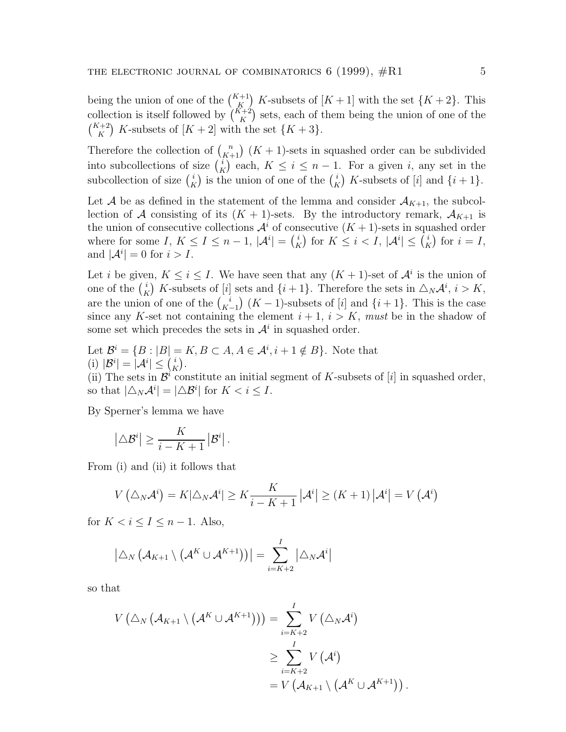being the union of one of the  $\binom{K+1}{K}$  K-subsets of  $[K+1]$  with the set  $\{K+2\}$ . This collection is itself followed by  $\binom{\tilde{K}+2}{K}$  sets, each of them being the union of one of the  $\binom{K+2}{K}$  K-subsets of  $[K+2]$  with the set  $\{K+3\}.$ 

Therefore the collection of  $\binom{n}{K+1}$   $(K+1)$ -sets in squashed order can be subdivided into subcollections of size  $\binom{i}{K}$  each,  $K \leq i \leq n-1$ . For a given i, any set in the subcollection of size  $\binom{i}{K}$  is the union of one of the  $\binom{i}{K}$  K-subsets of [i] and  $\{i+1\}$ .

Let A be as defined in the statement of the lemma and consider  $A_{K+1}$ , the subcollection of A consisting of its  $(K + 1)$ -sets. By the introductory remark,  $\mathcal{A}_{K+1}$  is the union of consecutive collections  $\mathcal{A}^i$  of consecutive  $(K+1)$ -sets in squashed order where for some  $I, K \leq I \leq n-1, |\mathcal{A}^i| = {i \choose K}$  for  $K \leq i < I, |\mathcal{A}^i| \leq {i \choose K}$  for  $i = I$ , and  $|\mathcal{A}^i|=0$  for  $i>I$ .

Let i be given,  $K \leq i \leq I$ . We have seen that any  $(K + 1)$ -set of  $\mathcal{A}^i$  is the union of one of the  $\binom{i}{K}$  K-subsets of [i] sets and  $\{i+1\}$ . Therefore the sets in  $\triangle_N \mathcal{A}^i$ ,  $i > K$ , are the union of one of the  $\binom{i}{K-1}$ (K – 1)-subsets of [i] and  $\{i+1\}$ . This is the case since any K-set not containing the element  $i + 1$ ,  $i > K$ , must be in the shadow of some set which precedes the sets in  $\mathcal{A}^i$  in squashed order.

Let  $\mathcal{B}^i = \{B : |B| = K, B \subset A, A \in \mathcal{A}^i, i+1 \notin B\}$ . Note that (i)  $|\mathcal{B}^i| = |\mathcal{A}^i| \leq {i \choose K}.$ 

(ii) The sets in  $\mathcal{B}^i$  constitute an initial segment of K-subsets of [i] in squashed order, so that  $|\triangle_N \mathcal{A}^i| = |\triangle \mathcal{B}^i|$  for  $K < i \leq I$ .

By Sperner's lemma we have

$$
\left|\triangle\mathcal{B}^i\right| \geq \frac{K}{i-K+1} \left|\mathcal{B}^i\right|.
$$

From (i) and (ii) it follows that

$$
V\left(\Delta_N\mathcal{A}^i\right) = K|\Delta_N\mathcal{A}^i| \ge K \frac{K}{i - K + 1} |\mathcal{A}^i| \ge (K + 1) |\mathcal{A}^i| = V\left(\mathcal{A}^i\right)
$$

for  $K < i \leq I \leq n-1$ . Also,

$$
\left|\triangle_N\left(\mathcal{A}_{K+1}\setminus\left(\mathcal{A}^K\cup\mathcal{A}^{K+1}\right)\right)\right|=\sum_{i=K+2}^I\left|\triangle_N\mathcal{A}^i\right|
$$

so that

$$
V\left(\Delta_N\left(\mathcal{A}_{K+1}\setminus\left(\mathcal{A}^K\cup\mathcal{A}^{K+1}\right)\right)\right)=\sum_{i=K+2}^IV\left(\Delta_N\mathcal{A}^i\right)
$$

$$
\geq \sum_{i=K+2}^IV\left(\mathcal{A}^i\right)
$$

$$
=V\left(\mathcal{A}_{K+1}\setminus\left(\mathcal{A}^K\cup\mathcal{A}^{K+1}\right)\right).
$$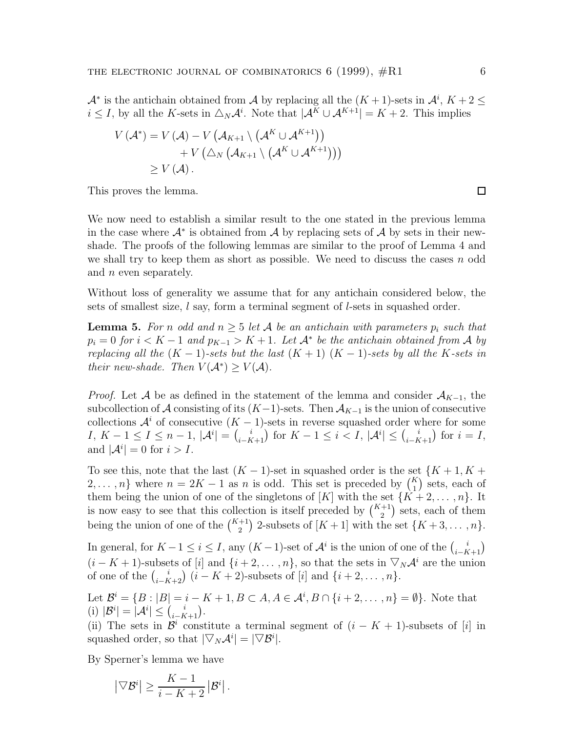$\mathcal{A}^*$  is the antichain obtained from  $\mathcal{A}$  by replacing all the  $(K+1)$ -sets in  $\mathcal{A}^i$ ,  $K+2 \leq$  $i \leq I$ , by all the K-sets in  $\triangle_N \mathcal{A}^i$ . Note that  $|\mathcal{A}^K \cup \mathcal{A}^{K+1}| = K + 2$ . This implies

$$
V(\mathcal{A}^*) = V(\mathcal{A}) - V(\mathcal{A}_{K+1} \setminus (\mathcal{A}^K \cup \mathcal{A}^{K+1}))
$$
  
+ 
$$
V(\triangle_N (\mathcal{A}_{K+1} \setminus (\mathcal{A}^K \cup \mathcal{A}^{K+1})))
$$
  
\$\geq V(\mathcal{A})\$.

This proves the lemma.

We now need to establish a similar result to the one stated in the previous lemma in the case where  $\mathcal{A}^*$  is obtained from  $\mathcal{A}$  by replacing sets of  $\mathcal{A}$  by sets in their newshade. The proofs of the following lemmas are similar to the proof of Lemma 4 and we shall try to keep them as short as possible. We need to discuss the cases  $n$  odd and *n* even separately.

Without loss of generality we assume that for any antichain considered below, the sets of smallest size,  $l$  say, form a terminal segment of  $l$ -sets in squashed order.

**Lemma 5.** For n odd and  $n \geq 5$  let A be an antichain with parameters  $p_i$  such that  $p_i = 0$  for  $i < K - 1$  and  $p_{K-1} > K + 1$ . Let  $\mathcal{A}^*$  be the antichain obtained from A by replacing all the  $(K-1)$ -sets but the last  $(K+1)$   $(K-1)$ -sets by all the K-sets in their new-shade. Then  $V(A^*) \geq V(A)$ .

*Proof.* Let A be as defined in the statement of the lemma and consider  $A_{K-1}$ , the subcollection of A consisting of its  $(K-1)$ -sets. Then  $A_{K-1}$  is the union of consecutive collections  $\mathcal{A}^i$  of consecutive  $(K-1)$ -sets in reverse squashed order where for some  $I, K-1 \leq I \leq n-1, |\mathcal{A}^i| = {i \choose i-k+1}$  for  $K-1 \leq i \leq I, |\mathcal{A}^i| \leq {i \choose i-k+1}$  for  $i = I$ , and  $|\mathcal{A}^i|=0$  for  $i>I$ .

To see this, note that the last  $(K-1)$ -set in squashed order is the set  $\{K+1, K+1\}$ 2,..., n} where  $n = 2K - 1$  as n is odd. This set is preceded by  $\binom{K}{1}$  sets, each of them being the union of one of the singletons of  $[K]$  with the set  $\{K+2,\ldots,n\}$ . It is now easy to see that this collection is itself preceded by  $\binom{K+1}{2}$  sets, each of them being the union of one of the  $\binom{K+1}{2}$  2-subsets of  $[K+1]$  with the set  $\{K+3,\ldots,n\}$ .

In general, for  $K - 1 \leq i \leq I$ , any  $(K - 1)$ -set of  $\mathcal{A}^i$  is the union of one of the  $\binom{i}{i-K+1}$  $(i - K + 1)$ -subsets of [i] and  $\{i + 2, \ldots, n\}$ , so that the sets in  $\nabla_N \mathcal{A}^i$  are the union of one of the  $\binom{i}{i-K+2}$   $(i-K+2)$ -subsets of  $[i]$  and  $\{i+2,\ldots,n\}$ .

Let  $\mathcal{B}^i = \{B : |B| = i - K + 1, B \subset A, A \in \mathcal{A}^i, B \cap \{i + 2, \dots, n\} = \emptyset\}$ . Note that (i)  $|\mathcal{B}^i| = |\mathcal{A}^i| \leq {i \choose i - K + 1}.$ 

(ii) The sets in  $\mathcal{B}^i$  constitute a terminal segment of  $(i - K + 1)$ -subsets of [i] in squashed order, so that  $|\nabla_N \mathcal{A}^i| = |\nabla \mathcal{B}^i|$ .

By Sperner's lemma we have

$$
\left|\nabla \mathcal{B}^i\right| \geq \frac{K-1}{i-K+2} \left|\mathcal{B}^i\right|.
$$

 $\Box$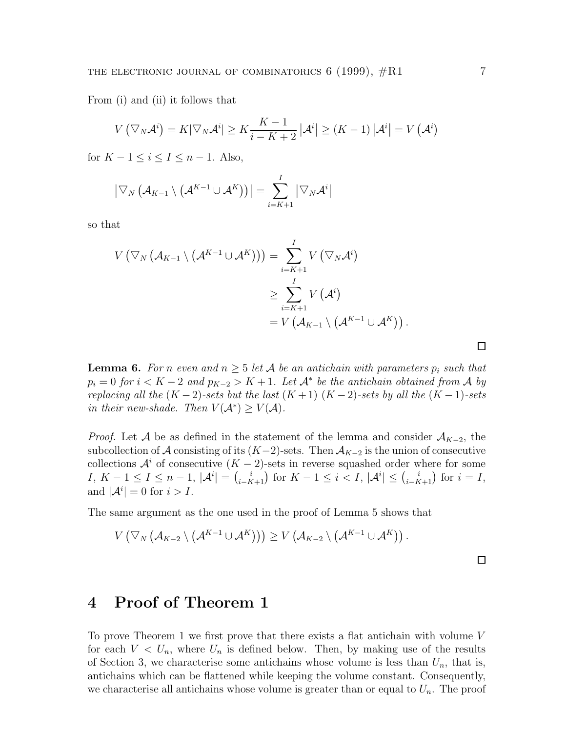From (i) and (ii) it follows that

$$
V\left(\nabla_N\mathcal{A}^i\right) = K|\nabla_N\mathcal{A}^i| \ge K\frac{K-1}{i-K+2}|\mathcal{A}^i| \ge (K-1)|\mathcal{A}^i| = V\left(\mathcal{A}^i\right)
$$

for  $K - 1 \leq i \leq I \leq n - 1$ . Also,

$$
\left|\nabla_{N}\left(\mathcal{A}_{K-1}\setminus\left(\mathcal{A}^{K-1}\cup\mathcal{A}^{K}\right)\right)\right|=\sum_{i=K+1}^{I}\left|\nabla_{N}\mathcal{A}^{i}\right|
$$

so that

$$
V(\nabla_N (\mathcal{A}_{K-1} \setminus (\mathcal{A}^{K-1} \cup \mathcal{A}^K))) = \sum_{i=K+1}^I V(\nabla_N \mathcal{A}^i)
$$
  
\n
$$
\geq \sum_{i=K+1}^I V(\mathcal{A}^i)
$$
  
\n
$$
= V(\mathcal{A}_{K-1} \setminus (\mathcal{A}^{K-1} \cup \mathcal{A}^K)).
$$

**Lemma 6.** For n even and  $n \geq 5$  let A be an antichain with parameters  $p_i$  such that  $p_i = 0$  for  $i < K - 2$  and  $p_{K-2} > K + 1$ . Let  $\mathcal{A}^*$  be the antichain obtained from A by replacing all the  $(K-2)$ -sets but the last  $(K+1)$   $(K-2)$ -sets by all the  $(K-1)$ -sets in their new-shade. Then  $V(A^*) \geq V(A)$ .

*Proof.* Let A be as defined in the statement of the lemma and consider  $A_{K-2}$ , the subcollection of A consisting of its  $(K-2)$ -sets. Then  $A_{K-2}$  is the union of consecutive collections  $\mathcal{A}^i$  of consecutive  $(K-2)$ -sets in reverse squashed order where for some  $I, K-1 \leq I \leq n-1, |\mathcal{A}^i| = {i \choose i-k+1}$  for  $K-1 \leq i < I, |\mathcal{A}^i| \leq {i \choose i-k+1}$  for  $i = I$ , and  $|\mathcal{A}^i|=0$  for  $i>I$ .

The same argument as the one used in the proof of Lemma 5 shows that

$$
V\left(\nabla_{N}\left(\mathcal{A}_{K-2}\setminus\left(\mathcal{A}^{K-1}\cup \mathcal{A}^{K}\right)\right)\right)\geq V\left(\mathcal{A}_{K-2}\setminus\left(\mathcal{A}^{K-1}\cup \mathcal{A}^{K}\right)\right).
$$

#### **4 Proof of Theorem 1**

To prove Theorem 1 we first prove that there exists a flat antichain with volume V for each  $V < U_n$ , where  $U_n$  is defined below. Then, by making use of the results of Section 3, we characterise some antichains whose volume is less than  $U_n$ , that is, antichains which can be flattened while keeping the volume constant. Consequently, we characterise all antichains whose volume is greater than or equal to  $U_n$ . The proof

 $\Box$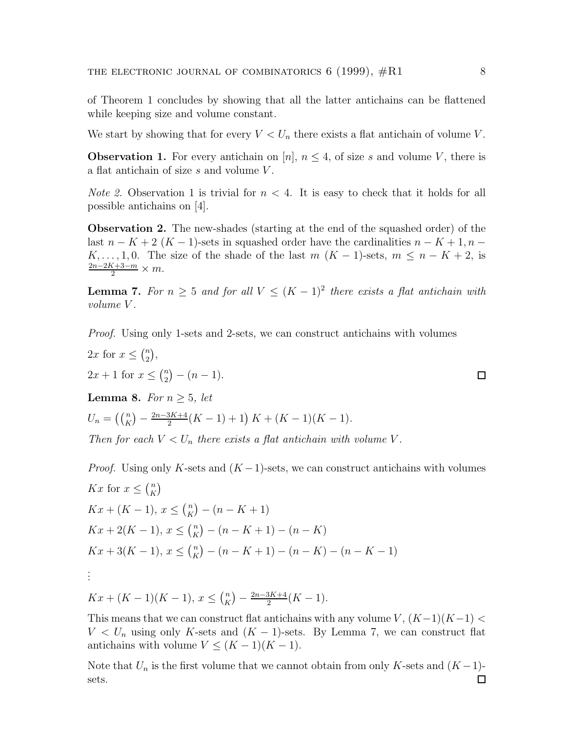of Theorem 1 concludes by showing that all the latter antichains can be flattened while keeping size and volume constant.

We start by showing that for every  $V < U_n$  there exists a flat antichain of volume V.

**Observation 1.** For every antichain on [n],  $n \leq 4$ , of size s and volume V, there is a flat antichain of size s and volume V .

*Note 2.* Observation 1 is trivial for  $n < 4$ . It is easy to check that it holds for all possible antichains on [4].

**Observation 2.** The new-shades (starting at the end of the squashed order) of the last  $n - K + 2(K - 1)$ -sets in squashed order have the cardinalities  $n - K + 1, n -$ K,..., 1,0. The size of the shade of the last  $m (K - 1)$ -sets,  $m \leq n - K + 2$ , is  $\frac{2n-2K+3-m}{2} \times m$ .

**Lemma 7.** For  $n \geq 5$  and for all  $V \leq (K-1)^2$  there exists a flat antichain with volume V .

Proof. Using only 1-sets and 2-sets, we can construct antichains with volumes

2x for  $x \leq {n \choose 2}$ ,  $2x + 1$  for  $x \leq {n \choose 2} - (n-1)$ .  $\Box$ **Lemma 8.** For  $n > 5$ , let  $U_n = \left(\binom{n}{K} - \frac{2n-3K+4}{2}(K-1) + 1\right)K + (K-1)(K-1).$ 

Then for each  $V < U_n$  there exists a flat antichain with volume V.

*Proof.* Using only K-sets and  $(K-1)$ -sets, we can construct antichains with volumes Kx for  $x \leq {n \choose K}$  $Kx + (K - 1), x \leq {n \choose K} - (n - K + 1)$  $Kx + 2(K - 1), x \leq {n \choose K} - (n - K + 1) - (n - K)$  $Kx + 3(K - 1), x \leq {n \choose K} - (n - K + 1) - (n - K) - (n - K - 1)$ . . .

 $Kx + (K-1)(K-1), x \leq {n \choose K} - \frac{2n-3K+4}{2}(K-1).$ 

This means that we can construct flat antichains with any volume  $V, (K-1)(K-1) <$  $V < U_n$  using only K-sets and  $(K - 1)$ -sets. By Lemma 7, we can construct flat antichains with volume  $V \leq (K-1)(K-1)$ .

Note that  $U_n$  is the first volume that we cannot obtain from only K-sets and  $(K-1)$ sets.□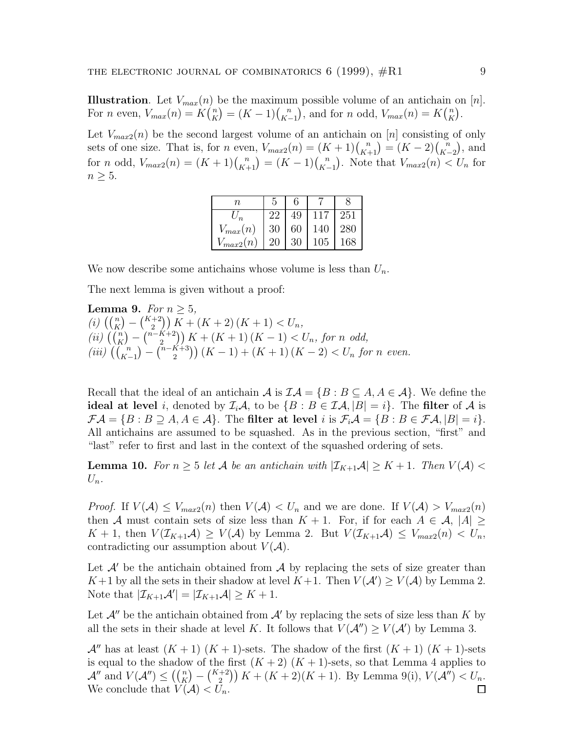**Illustration**. Let  $V_{max}(n)$  be the maximum possible volume of an antichain on  $[n]$ . For *n* even,  $V_{max}(n) = K\binom{n}{K} = (K-1)\binom{n}{K-1}$ ), and for *n* odd,  $V_{max}(n) = K\binom{n}{K}$ .

Let  $V_{max2}(n)$  be the second largest volume of an antichain on [n] consisting of only sets of one size. That is, for *n* even,  $V_{max2}(n) = (K + 1)\binom{n}{K+1} = (K - 2)\binom{n}{K-2}$ ¢ , and for *n* odd,  $V_{max2}(n) = (K + 1)\binom{n}{K+1} = (K - 1)\binom{n}{K-1}$ ). Note that  $V_{max2}(n) < U_n$  for  $n \geq 5$ .

| n                                  |              | 6  |     |     |
|------------------------------------|--------------|----|-----|-----|
|                                    |              | 49 | 117 | 251 |
| $V_{max}(n)$                       | 30           | 60 | 140 | 280 |
| $\mathbb{V}_{\underline{max2}}(n)$ | $20^{\circ}$ | 30 | 105 | 168 |

We now describe some antichains whose volume is less than  $U_n$ .

The next lemma is given without a proof:

**Lemma 9.** For  $n \geq 5$ , (i)  $\left( \binom{n}{K} - \binom{K+2}{2} \right) K + (K+2)(K+1) < U_n$ ,  $(iii)$   $((\binom{n}{K} - \binom{n-K+2}{2})$   $K + (K+1) (K-1) < U_n$ , for n odd, (iii)  $\left(\begin{matrix}n\\ K-1\end{matrix}\right)$  $(-\binom{n-K+3}{2} (K-1) + (K+1)(K-2) < U_n$  for n even.

Recall that the ideal of an antichain  $\mathcal A$  is  $\mathcal{IA} = \{B : B \subseteq A, A \in \mathcal A\}$ . We define the **ideal at level** i, denoted by  $\mathcal{I}_i\mathcal{A}$ , to be  $\{B : B \in \mathcal{I}\mathcal{A}, |B| = i\}$ . The **filter** of  $\mathcal{A}$  is  $\mathcal{F}A = \{B : B \supseteq A, A \in \mathcal{A}\}.$  The **filter at level** i is  $\mathcal{F}_iA = \{B : B \in \mathcal{F}A, |B| = i\}.$ All antichains are assumed to be squashed. As in the previous section, "first" and "last" refer to first and last in the context of the squashed ordering of sets.

**Lemma 10.** For  $n \geq 5$  let A be an antichain with  $|\mathcal{I}_{K+1}A| \geq K+1$ . Then  $V(A)$  $U_n$ .

*Proof.* If  $V(A) \leq V_{max2}(n)$  then  $V(A) < U_n$  and we are done. If  $V(A) > V_{max2}(n)$ then A must contain sets of size less than  $K + 1$ . For, if for each  $A \in \mathcal{A}$ ,  $|A| \ge$  $K + 1$ , then  $V(\mathcal{I}_{K+1}\mathcal{A}) \geq V(\mathcal{A})$  by Lemma 2. But  $V(\mathcal{I}_{K+1}\mathcal{A}) \leq V_{max2}(n) < U_n$ , contradicting our assumption about  $V(\mathcal{A})$ .

Let  $\mathcal{A}'$  be the antichain obtained from  $\mathcal{A}$  by replacing the sets of size greater than  $K+1$  by all the sets in their shadow at level  $K+1$ . Then  $V(\mathcal{A}') \geq V(\mathcal{A})$  by Lemma 2. Note that  $|\mathcal{I}_{K+1}\mathcal{A}'| = |\mathcal{I}_{K+1}\mathcal{A}| \geq K+1$ .

Let  $\mathcal{A}''$  be the antichain obtained from  $\mathcal{A}'$  by replacing the sets of size less than K by all the sets in their shade at level K. It follows that  $V(\mathcal{A}'') \ge V(\mathcal{A}')$  by Lemma 3.

 $\mathcal{A}$ <sup>n</sup> has at least  $(K + 1)$   $(K + 1)$ -sets. The shadow of the first  $(K + 1)$   $(K + 1)$ -sets is equal to the shadow of the first  $(K + 2)$   $(K + 1)$ -sets, so that Lemma 4 applies to  $\mathcal{A}''$  and  $V(\mathcal{A}'') \leq \left(\binom{n}{K} - \binom{K+2}{2}K + (K+2)(K+1)$ . By Lemma 9(i),  $V(\mathcal{A}'') < U_n$ . We conclude that  $V(\mathcal{A}) < U_n$ .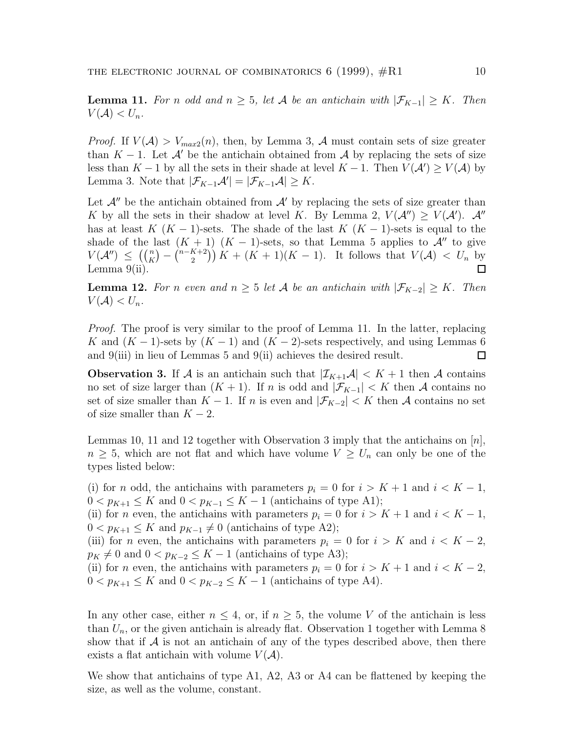**Lemma 11.** For n odd and  $n \geq 5$ , let A be an antichain with  $|\mathcal{F}_{K-1}| \geq K$ . Then  $V(\mathcal{A}) < U_n$ .

*Proof.* If  $V(A) > V_{max2}(n)$ , then, by Lemma 3, A must contain sets of size greater than  $K - 1$ . Let A' be the antichain obtained from A by replacing the sets of size less than  $K-1$  by all the sets in their shade at level  $K-1$ . Then  $V(\mathcal{A}') \geq V(\mathcal{A})$  by Lemma 3. Note that  $|\mathcal{F}_{K-1}\mathcal{A}'| = |\mathcal{F}_{K-1}\mathcal{A}| \geq K$ .

Let  $\mathcal{A}''$  be the antichain obtained from  $\mathcal{A}'$  by replacing the sets of size greater than K by all the sets in their shadow at level K. By Lemma 2,  $V(\mathcal{A}'') \geq V(\mathcal{A}')$ .  $\mathcal{A}''$ has at least  $K$  (K − 1)-sets. The shade of the last  $K$  (K − 1)-sets is equal to the shade of the last  $(K + 1)$   $(K - 1)$ -sets, so that Lemma 5 applies to  $\mathcal{A}$ <sup>*u*</sup> to give  $V(\mathcal{A}'') \leq \left( {n \choose K} - {n-K+2 \choose 2} \right) K + (K+1)(K-1)$ . It follows that  $V(\mathcal{A}) < U_n$  by Lemma  $9(ii)$ .  $\Box$ 

**Lemma 12.** For n even and  $n \geq 5$  let A be an antichain with  $|\mathcal{F}_{K-2}| \geq K$ . Then  $V(\mathcal{A}) < U_n$ .

Proof. The proof is very similar to the proof of Lemma 11. In the latter, replacing K and  $(K-1)$ -sets by  $(K-1)$  and  $(K-2)$ -sets respectively, and using Lemmas 6 and 9(iii) in lieu of Lemmas 5 and 9(ii) achieves the desired result. □

**Observation 3.** If A is an antichain such that  $|\mathcal{I}_{K+1}A| < K+1$  then A contains no set of size larger than  $(K + 1)$ . If n is odd and  $|\mathcal{F}_{K-1}| < K$  then A contains no set of size smaller than  $K - 1$ . If n is even and  $|\mathcal{F}_{K-2}| < K$  then A contains no set of size smaller than  $K - 2$ .

Lemmas 10, 11 and 12 together with Observation 3 imply that the antichains on  $[n]$ ,  $n \geq 5$ , which are not flat and which have volume  $V \geq U_n$  can only be one of the types listed below:

(i) for *n* odd, the antichains with parameters  $p_i = 0$  for  $i > K + 1$  and  $i < K - 1$ ,  $0 < p_{K+1} \leq K$  and  $0 < p_{K-1} \leq K-1$  (antichains of type A1); (ii) for *n* even, the antichains with parameters  $p_i = 0$  for  $i > K + 1$  and  $i < K - 1$ ,  $0 < p_{K+1} \leq K$  and  $p_{K-1} \neq 0$  (antichains of type A2); (iii) for n even, the antichains with parameters  $p_i = 0$  for  $i > K$  and  $i < K - 2$ ,  $p_K \neq 0$  and  $0 < p_{K-2} \leq K-1$  (antichains of type A3); (ii) for *n* even, the antichains with parameters  $p_i = 0$  for  $i > K + 1$  and  $i < K - 2$ ,  $0 < p_{K+1} \leq K$  and  $0 < p_{K-2} \leq K-1$  (antichains of type A4).

In any other case, either  $n \leq 4$ , or, if  $n \geq 5$ , the volume V of the antichain is less than  $U_n$ , or the given antichain is already flat. Observation 1 together with Lemma 8 show that if  $\mathcal A$  is not an antichain of any of the types described above, then there exists a flat antichain with volume  $V(\mathcal{A})$ .

We show that antichains of type A1, A2, A3 or A4 can be flattened by keeping the size, as well as the volume, constant.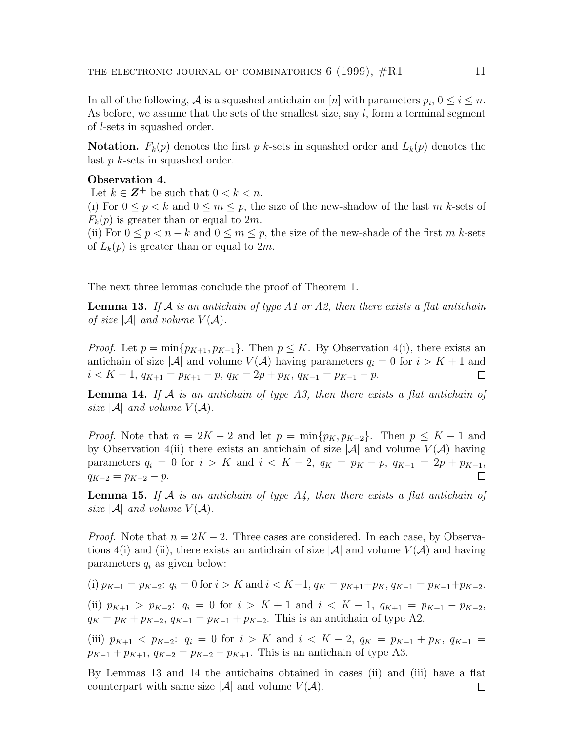In all of the following, A is a squashed antichain on [n] with parameters  $p_i$ ,  $0 \le i \le n$ . As before, we assume that the sets of the smallest size, say  $l$ , form a terminal segment of l-sets in squashed order.

**Notation.**  $F_k(p)$  denotes the first p k-sets in squashed order and  $L_k(p)$  denotes the last  $p$  k-sets in squashed order.

#### **Observation 4.**

Let  $k \in \mathbb{Z}^+$  be such that  $0 < k < n$ .

(i) For  $0 \le p \le k$  and  $0 \le m \le p$ , the size of the new-shadow of the last m k-sets of  $F_k(p)$  is greater than or equal to 2m.

(ii) For  $0 \leq p < n - k$  and  $0 \leq m \leq p$ , the size of the new-shade of the first m k-sets of  $L_k(p)$  is greater than or equal to  $2m$ .

The next three lemmas conclude the proof of Theorem 1.

**Lemma 13.** If A is an antichain of type A1 or A2, then there exists a flat antichain of size  $|\mathcal{A}|$  and volume  $V(\mathcal{A})$ .

*Proof.* Let  $p = \min\{p_{K+1}, p_{K-1}\}\$ . Then  $p \leq K$ . By Observation 4(i), there exists an antichain of size  $|\mathcal{A}|$  and volume  $V(\mathcal{A})$  having parameters  $q_i = 0$  for  $i > K + 1$  and  $i < K - 1$ ,  $q_{K+1} = p_{K+1} - p$ ,  $q_K = 2p + p_K$ ,  $q_{K-1} = p_{K-1} - p$ . □

**Lemma 14.** If  $A$  is an antichain of type A3, then there exists a flat antichain of size  $|\mathcal{A}|$  and volume  $V(\mathcal{A})$ .

*Proof.* Note that  $n = 2K - 2$  and let  $p = \min\{p_K, p_{K-2}\}\$ . Then  $p \leq K - 1$  and by Observation 4(ii) there exists an antichain of size  $|\mathcal{A}|$  and volume  $V(\mathcal{A})$  having parameters  $q_i = 0$  for  $i > K$  and  $i < K - 2$ ,  $q_K = p_K - p$ ,  $q_{K-1} = 2p + p_{K-1}$ ,  $q_{K-2} = p_{K-2} - p.$  $\Box$ 

**Lemma 15.** If  $A$  is an antichain of type  $A_4$ , then there exists a flat antichain of size | $\mathcal{A}$ | and volume  $V(\mathcal{A})$ .

*Proof.* Note that  $n = 2K - 2$ . Three cases are considered. In each case, by Observations 4(i) and (ii), there exists an antichain of size  $|\mathcal{A}|$  and volume  $V(\mathcal{A})$  and having parameters  $q_i$  as given below:

(i)  $p_{K+1} = p_{K-2}$ :  $q_i = 0$  for  $i > K$  and  $i < K-1$ ,  $q_K = p_{K+1}+p_K$ ,  $q_{K-1} = p_{K-1}+p_{K-2}$ .

(ii)  $p_{K+1} > p_{K-2}$ :  $q_i = 0$  for  $i > K+1$  and  $i < K-1$ ,  $q_{K+1} = p_{K+1} - p_{K-2}$ ,  $q_K = p_K + p_{K-2}, q_{K-1} = p_{K-1} + p_{K-2}$ . This is an antichain of type A2.

(iii)  $p_{K+1} < p_{K-2}$ :  $q_i = 0$  for  $i > K$  and  $i < K - 2$ ,  $q_K = p_{K+1} + p_K$ ,  $q_{K-1} =$  $p_{K-1} + p_{K+1}, q_{K-2} = p_{K-2} - p_{K+1}$ . This is an antichain of type A3.

By Lemmas 13 and 14 the antichains obtained in cases (ii) and (iii) have a flat counterpart with same size  $|\mathcal{A}|$  and volume  $V(\mathcal{A})$ .  $\Box$